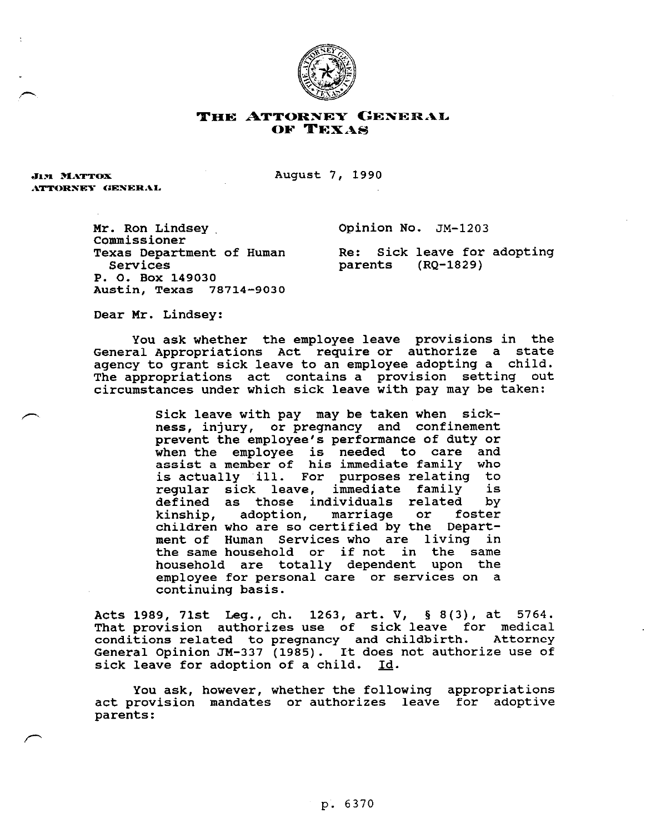

## THE ATTORNEY GENERAL OF TEXAS

**JIM MATTOX** ATTORNEY GENERAL August 7, 1990

Mr. Ron Lindsey. Commissioner Texas Department of Human Services P. 0. Box 149030 Austin, Texas 78714-9030

**Opinion** No. JM-1203

Re: Sick leave for adopting<br>parents (RQ-1829) (RQ-1829)

Dear Mr. Lindsey:

you ask whether the employee leave provisions in the General Appropriations Act require or authorize a state agency to grant sick leave to an employee adopting a child. The appropriations act contains a provision setting out circumstances under which sick leave with pay may be taken:

> Sick leave with pay may be taken when sickness, injury, or pregnancy and confinement prevent the employee's performance of duty or when the employee is needed to care and assist a member of his immediate family who is actually ~i.11. For purposes relating to regular sick leave, immediate family is defined as those individuals related by<br>kinship, adoption, marriage or foster kinship, adoption, marriage or children who are so certified by the Department of Human Services who are living in the same household or if not in the same household are totally dependent upon the employee for personal care or services on a continuing basis.

Acts 1989, 71st Leg., ch. 1263, art. V, 5 8(3), at 5764. That provision authorizes use of sick leave for medical conditions related to pregnancy and childbirth. Attorney General Opinion JM-337 (1985). It does not authorize use of<br>sick leave for adoption of a child. Id. sick leave for adoption of a child.

You ask, however, whether the following appropriations act provision mandates or authorizes leave for adoptive parents: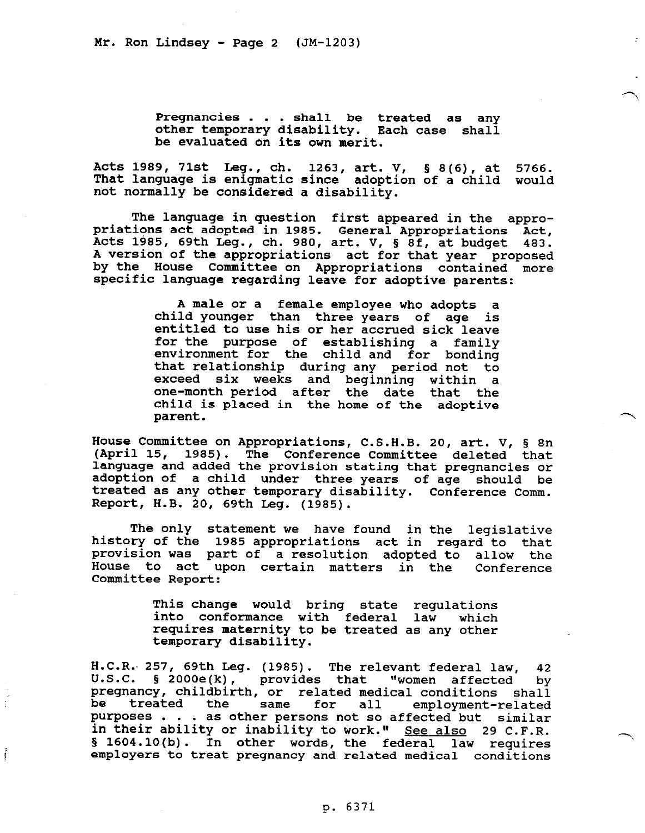Pregnancies . . . shall be treated as any other temporary disability. Each case shall be evaluated on its own merit.

Acts 1989, 71st Leg., ch. 1263, art. V, 5 8(6), at 5766. That language is enigmatic since adoption of a child would not normally be considered a disability.

The language in question first appeared in the appropriations act adopted in 1985. General Appropriations Act, Acts 1985, 69th Leg., ch. 980, art. V, § 8f, at budget 483. A version of the appropriations act for that year proposed by the Rouse Committee on Appropriations contained more specific language regarding leave for adoptive parents:

> A male or a female employee who adopts a child younger than three years of age is entitled to use his or her accrued sick leave for the purpose of establishing a family environment for the child and for bonding that relationship during any period not to exceed six weeks and beginning within a one-month period after the date that the child is placed in the home of the adoptive parent.

House Committee on Appropriations, C.S.H.B. 20, art. V, 5 8n (April 15, 1985). The Conference Committee deleted that language and added the provision stating that pregnancies or adoption or a child under three years of age should be and the should be an additional service of the should be treated as any other temporary disability. Conference Comm. Report, Ii-B. 20, 69th Leg. (1985).

The only statement we have found in the legislative history of the 1985 appropriations act in regard to that provision was part of a resolution adopted to allow the House to act upon certain matters in the Conference Committee Report:

> This change would bring state regulations into conformance with federal law which requires maternity to be treated as any other temporary disability.

H.C.R. 257, 69th Leg. (1985). The relevant federal law, 42<br>U.S.C. § 2000e(k), provides that "women affected by  $\S$  2000e(k), provides that pregnancy, childbirth, or related medical conditions shall<br>be treated the same for all employment-related be treated the same for all employment-related<br>nurmosos purposes . . . as other persons not so affected but similar in their ability or inability to work." See also 29 C.F.R. § 1604.10(b). In other words, the federal law requires employers to treat pregnancy and related medical conditions

 $\begin{array}{c} \vec{r} \\ \vec{r} \\ \vec{r} \end{array}$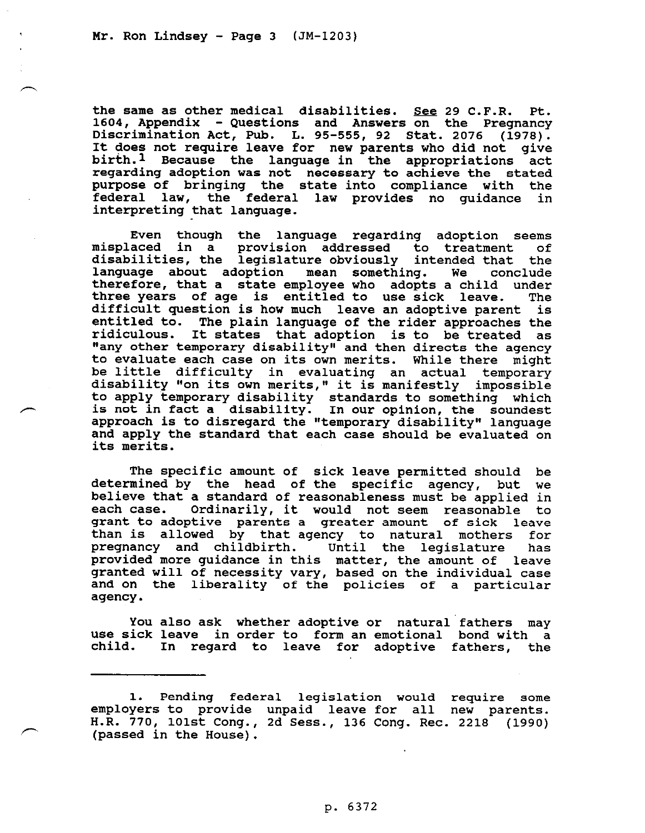A

the same as other medical disabilities. See 29 C.F.R. Pt. 1604, Appendix - Questions and Answers on the Pregnancy Discrimination Act, Pub. L. 95-555, 92 Stat. 2076 (1978). It does not require leave for new parents who did not give birth.1 Because the language in the appropriations act regarding adoption was not necessary to achieve the stated purpose of bringing the state into compliance with the<br>federal law, the federal law provides no quidance in federal law, the federal law provides no quidance interpreting that language.

Even though the language regarding adoption seems<br>aced in a provision addressed to treatment of misplaced in a provision addressed to treatment disabilities, the legislature obviously intended that the<br>language about adoption mean something. We conclude language about adoption mean something. therefore, that a state employee who adopts a child under three years of age is entitled to use sick leave. difficult question is how much leave an adoptive parent is entitled to. ridiculous. The plain language of the rider approaches the It states that adoption is to be treated as "any other temporary disability" and then directs the agency to evaluate each case on its own merits. While there might be little difficulty in evaluating an actual temporary disability "on its own merits," it is manifestly impossible to apply temporary disability standards to something which  $\curvearrowleft$  is not in fact a disability. In our opinion, the soundest approach is to disregard the "temporary disability" language and apply the standard that each case should be evaluated on its merits.

> The specific amount of sick leave permitted should be determined by the head of the specific agency, but we believe that a standard of reasonableness must be applied in each case. Ordinarily, it would not seem reasonable to grant to adoptive parents a greater amount of sick leave than is allowed by that agency to natural mothers for pregnancy and childbirth. Until the legislature has presented as provided more guidance in this matter, the amount of leave granted will of necessity vary, based on the individual case and on the liberality of the policies of a particular agency.

> You also ask whether adoptive or natural fathers may use sick leave in order to form an emotional bond with a child. In regard to leave for adoptive fathers, the

> 1. Pending federal legislation would require some employers to provide unpaid leave for all new parents. H.R. 770, 1Olst Cong., 2d Sess., 136 Cong. Rec. 2218 (1990) (passed in the House).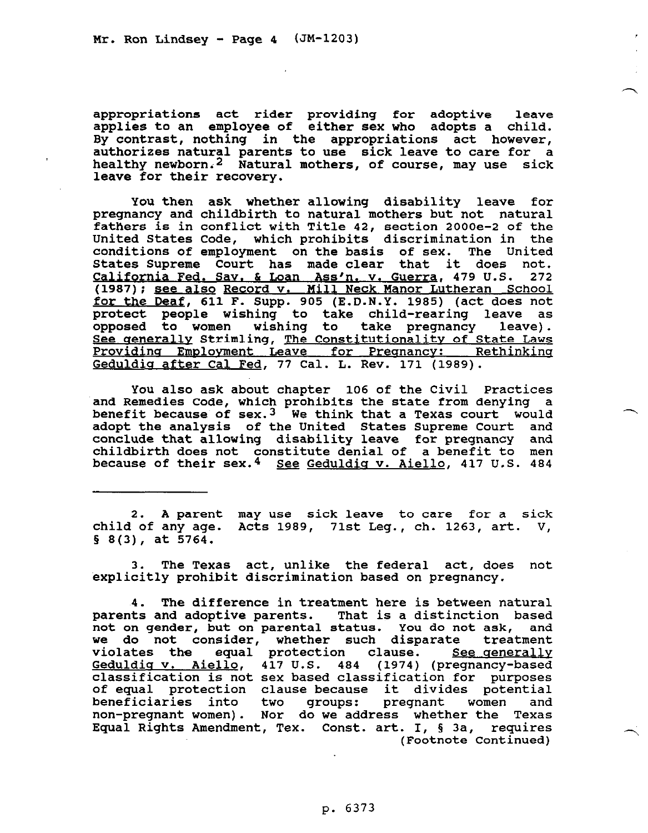appropriations act rider providing for adoptive leave applies to an employee of either sex who adopts a child. By contrast, nothing in the appropriations act however, authorizes natural parents to use sick leave to care for a healthy newborn.<sup>2</sup> Natural mothers, of course, may use sick leave for their recovery.

You then ask whether allowing disability leave for pregnancy and childbirth to natural mothers but not natural fathers is in conflict with Title 42, section 2000e-2 of the United States Code, which prohibits discrimination in the conditions of employment on the basis of sex. The United States Supreme Court has made clear that it does not. States Supreme Court has made clear that it does not.<br><u>California Fed. Sav. & Loan Ass'n. v. Guerra</u>, 479 U.S. 272 (1987); <u>see also Record v. Mill Neck Man</u> 479 U.S. 272 <u>for the Deaf</u>, 611 F. Supp. 905 (E.D.N.Y. nor Lutheran School 1985) (act does not protect people wishing to take child-rearing leave as opposed to women wishing to take pregnancy leave). See generally Strimling, The Constitutionality of State Laws Providing Employment Leave for Pregnancy: Rethinking Geduldig after Cal Fed, 77 Cal. L. Rev. 171 (1989).

You also ask about chapter 106 of the Civil Practices and Remedies Code, which prohibits the state from denying a benefit because of sex.<sup>3</sup> We think that a Texas court would adopt the analysis of the United States Supreme Court and conclude that allowing disability leave for pregnancy and childbirth does not constitute denial of a benefit to men because of their sex.<sup>4</sup> See Geduldig v. Aiello, 417 U.S. 484

2. A parent may use sick leave to care for a sick child of any age. Acts 1989, 71st Leg., ch. 1263, art. V,  $\S$  8(3), at 5764.

3. The Texas act, unlike the federal act, does not explicitly prohibit discrimination based on pregnancy.

4. The difference in treatment here is between natural parents and adoptive parents. That is a distinction based not on gender, but on parental status. You do not ask, and we do not consider, whether such disparate treatment violates the equal protection clause. See generally Geduldia v. Aiello, 417 U.S. 484 (1974) (pregnancy-based classification is not sex based classification for purposes of equal protection clause because it divides potential<br>beneficiaries into two groups: pregnant women and beneficiaries into two groups: pregnant women and non-pregnant women). Nor do we address whether the Texas Equal Rights Amendment, Tex. Const. art. I, 5 3a, requires (Footnote Continued)